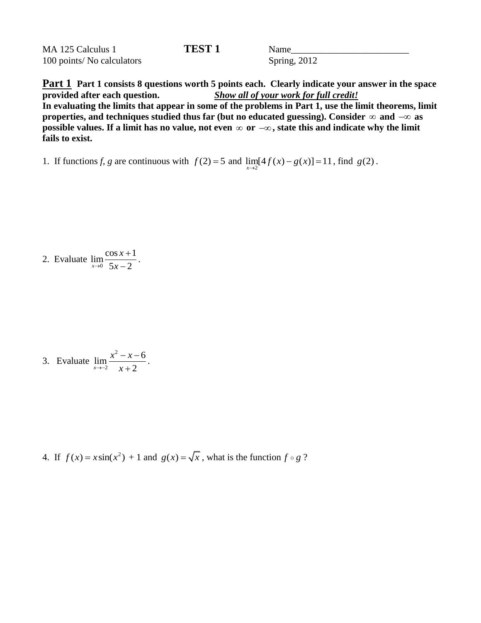| MA 125 Calculus 1          | <b>TEST 1</b> | Name         |
|----------------------------|---------------|--------------|
| 100 points/ No calculators |               | Spring, 2012 |

**Part 1 Part 1 consists 8 questions worth 5 points each. Clearly indicate your answer in the space provided after each question.** *Show all of your work for full credit!* **In evaluating the limits that appear in some of the problems in Part 1, use the limit theorems, limit**  properties, and techniques studied thus far (but no educated guessing). Consider  $\infty$  and  $-\infty$  as **possible values. If a limit has no value, not even or , state this and indicate why the limit fails to exist.** 

1. If functions *f*, *g* are continuous with  $f(2) = 5$  and  $\lim_{x\to 2} [4f(x) - g(x)] = 11$ , find  $g(2)$ .

2. Evaluate  $\lim_{x\to 0} \frac{\cos x + 1}{5x - 2}$  $\frac{x}{x+9}$  5x - 2 *x*  $\rightarrow 0$  5x  $\ddot{}$ -

.

.

3. Evaluate 2 2  $\lim \frac{x^2 - x - 6}{2}$  $\lim_{x\to -2}$   $x+2$  $x^2 - x$  $\rightarrow -2$  x  $-x-6$  $\ddot{}$ 

4. If  $f(x) = x \sin(x^2) + 1$  and  $g(x) = \sqrt{x}$ , what is the function  $f \circ g$ ?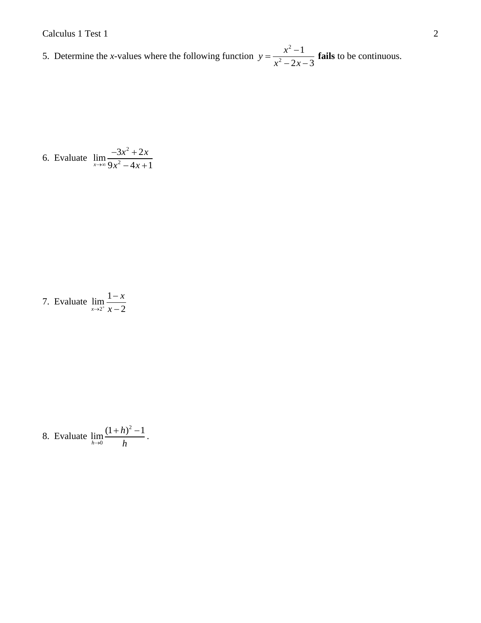5. Determine the *x*-values where the following function 2 2 1  $2x - 3$  $y = \frac{x}{2}$  $x^2 - 2x$  $=\frac{x^2-1}{2}$  $-2x-3$ **fails** to be continuous.

6. Evaluate 
$$
\lim_{x \to \infty} \frac{-3x^2 + 2x}{9x^2 - 4x + 1}
$$

7. Evaluate 
$$
\lim_{x \to 2^+} \frac{1-x}{x-2}
$$

8. Evaluate 
$$
\lim_{h \to 0} \frac{(1+h)^2 - 1}{h}.
$$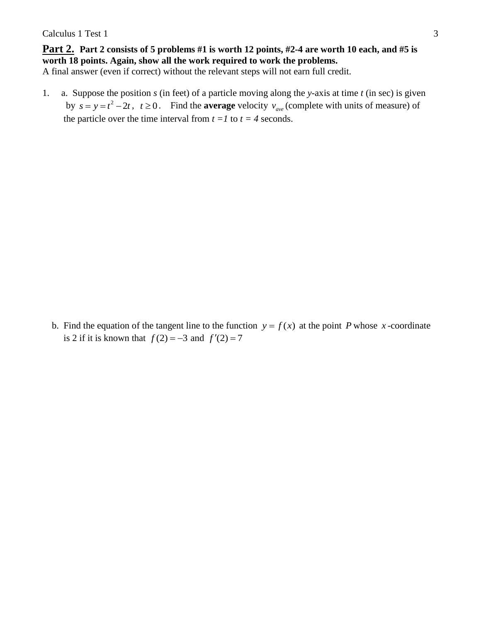**Part 2. Part 2 consists of 5 problems #1 is worth 12 points, #2-4 are worth 10 each, and #5 is worth 18 points. Again, show all the work required to work the problems.** A final answer (even if correct) without the relevant steps will not earn full credit.

1. a. Suppose the position *s* (in feet) of a particle moving along the *y*-axis at time *t* (in sec) is given by  $s = y = t^2 - 2t$ ,  $t \ge 0$ . Find the **average** velocity  $v_{ave}$  (complete with units of measure) of the particle over the time interval from  $t = 1$  to  $t = 4$  seconds.

b. Find the equation of the tangent line to the function  $y = f(x)$  at the point P whose x-coordinate is 2 if it is known that  $f(2) = -3$  and  $f'(2) = 7$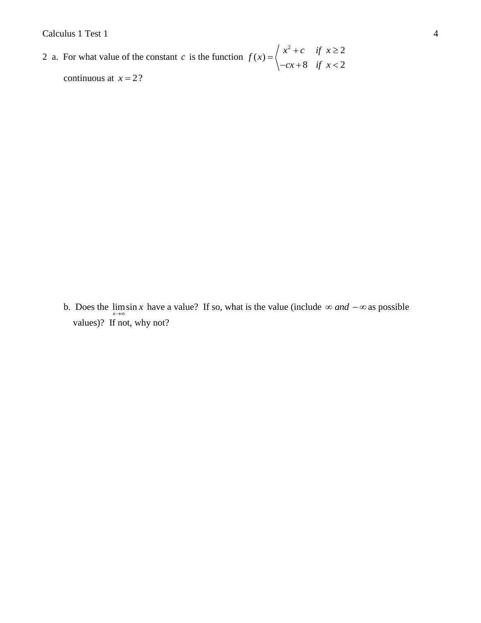Calculus 1 Test 1 4

2 a. For what value of the constant  $c$  is the function  $f(x) = \begin{cases} x^2 + c & \text{if } x \ge 2 \\ 0 & \text{if } x > 2 \end{cases}$ 8 if  $x < 2$  $f(x) = \begin{cases} x^2 + c & \text{if } x \\ 0 & \text{if } x \end{cases}$  $cx+8$  *if* x  $=\begin{cases} x^2+c & \text{if } x \geq 2 \\ -cx+8 & \text{if } x < 2 \end{cases}$ continuous at  $x = 2$ ?

b. Does the  $\lim_{x\to\infty} \sin x$  have a value? If so, what is the value (include  $\infty$  *and*  $-\infty$  as possible values)? If not, why not?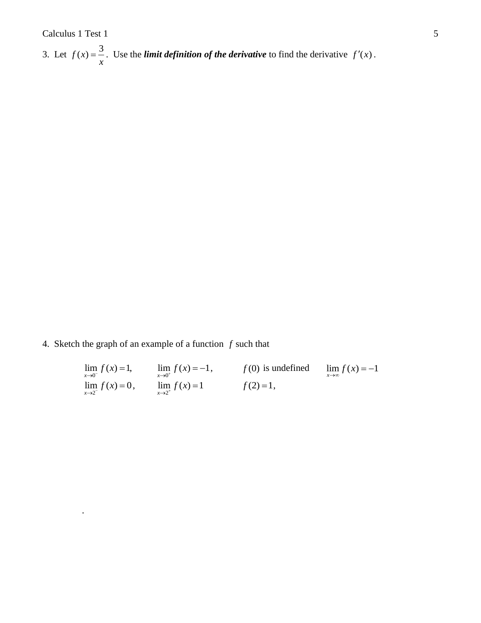.

3. Let  $f(x) = \frac{3}{x}$ *x*  $=$   $\frac{3}{x}$ . Use the *limit definition of the derivative* to find the derivative  $f'(x)$ .

4. Sketch the graph of an example of a function *f* such that

| $\lim_{x\to 0^-} f(x) = 1,$    | $\lim_{x \to 0^+} f(x) = -1,$ | $f(0)$ is undefined | $\lim_{x \to 0} f(x) = -1$ |
|--------------------------------|-------------------------------|---------------------|----------------------------|
| $\lim_{x \to 2^{-}} f(x) = 0,$ | $\lim_{x \to 2^+} f(x) = 1$   | $f(2)=1,$           |                            |